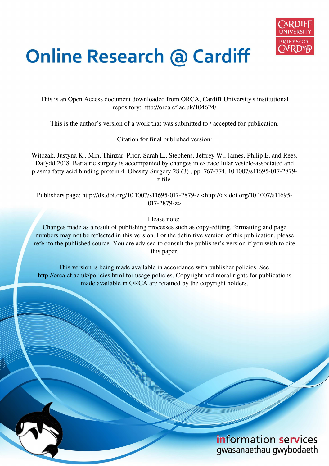

# **Online Research @ Cardiff**

This is an Open Access document downloaded from ORCA, Cardiff University's institutional repository: http://orca.cf.ac.uk/104624/

This is the author's version of a work that was submitted to / accepted for publication.

Citation for final published version:

Witczak, Justyna K., Min, Thinzar, Prior, Sarah L., Stephens, Jeffrey W., James, Philip E. and Rees, Dafydd 2018. Bariatric surgery is accompanied by changes in extracellular vesicle-associated and plasma fatty acid binding protein 4. Obesity Surgery 28 (3) , pp. 767-774. 10.1007/s11695-017-2879 z file

Publishers page: http://dx.doi.org/10.1007/s11695-017-2879-z <http://dx.doi.org/10.1007/s11695- 017-2879-z>

Please note:

Changes made as a result of publishing processes such as copy-editing, formatting and page numbers may not be reflected in this version. For the definitive version of this publication, please refer to the published source. You are advised to consult the publisher's version if you wish to cite this paper.

This version is being made available in accordance with publisher policies. See http://orca.cf.ac.uk/policies.html for usage policies. Copyright and moral rights for publications made available in ORCA are retained by the copyright holders.

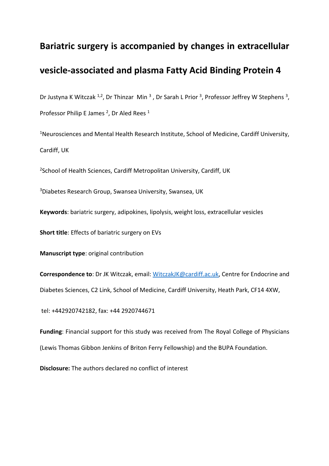# **Bariatric surgery is accompanied by changes in extracellular**

# **vesicle-associated and plasma Fatty Acid Binding Protein 4**

Dr Justyna K Witczak <sup>1,2</sup>, Dr Thinzar Min<sup>3</sup>, Dr Sarah L Prior<sup>3</sup>, Professor Jeffrey W Stephens<sup>3</sup>, Professor Philip E James<sup>2</sup>, Dr Aled Rees<sup>1</sup>

<sup>1</sup>Neurosciences and Mental Health Research Institute, School of Medicine, Cardiff University, Cardiff, UK

<sup>2</sup>School of Health Sciences, Cardiff Metropolitan University, Cardiff, UK

<sup>3</sup>Diabetes Research Group, Swansea University, Swansea, UK

**Keywords**: bariatric surgery, adipokines, lipolysis, weight loss, extracellular vesicles

**Short title**: Effects of bariatric surgery on EVs

**Manuscript type**: original contribution

**Correspondence to**: Dr JK Witczak, email: [WitczakJK@cardiff.ac.uk,](mailto:WitczakJK@cardiff.ac.uk) Centre for Endocrine and Diabetes Sciences, C2 Link, School of Medicine, Cardiff University, Heath Park, CF14 4XW,

tel: +442920742182, fax: +44 2920744671

**Funding**: Financial support for this study was received from The Royal College of Physicians (Lewis Thomas Gibbon Jenkins of Briton Ferry Fellowship) and the BUPA Foundation.

**Disclosure:** The authors declared no conflict of interest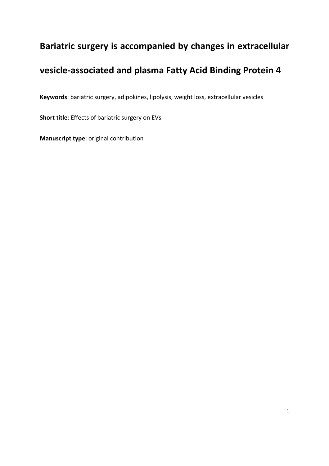# **Bariatric surgery is accompanied by changes in extracellular**

# **vesicle-associated and plasma Fatty Acid Binding Protein 4**

**Keywords**: bariatric surgery, adipokines, lipolysis, weight loss, extracellular vesicles

**Short title**: Effects of bariatric surgery on EVs

**Manuscript type**: original contribution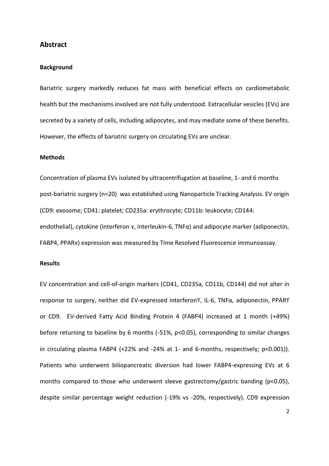## **Abstract**

#### **Background**

Bariatric surgery markedly reduces fat mass with beneficial effects on cardiometabolic health but the mechanisms involved are not fully understood. Extracellular vesicles (EVs) are secreted by a variety of cells, including adipocytes, and may mediate some of these benefits. However, the effects of bariatric surgery on circulating EVs are unclear.

#### **Methods**

Concentration of plasma EVs isolated by ultracentrifugation at baseline, 1- and 6 months post-bariatric surgery (n=20) was established using Nanoparticle Tracking Analysis. EV origin (CD9: exosome; CD41: platelet; CD235a: erythrocyte; CD11b: leukocyte; CD144: endothelial), cytokine (interferon *x*, interleukin-6, TNFα) and adipocyte marker (adiponectin, FABP4, PPARY) expression was measured by Time Resolved Fluorescence immunoassay.

## **Results**

EV concentration and cell-of-origin markers (CD41, CD235a, CD11b, CD144) did not alter in response to surgery, neither did EV-expressed interferonΥ, IL-6, TNFα, adiponectin, PPARY or CD9. EV-derived Fatty Acid Binding Protein 4 (FABP4) increased at 1 month (+49%) before returning to baseline by 6 months (-51%, p<0.05), corresponding to similar changes in circulating plasma FABP4 (+22% and -24% at 1- and 6-months, respectively; p<0.001)). Patients who underwent biliopancreatic diversion had lower FABP4-expressing EVs at 6 months compared to those who underwent sleeve gastrectomy/gastric banding (p<0.05), despite similar percentage weight reduction (-19% vs -20%, respectively). CD9 expression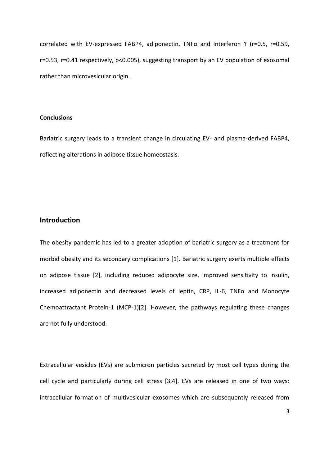correlated with EV-expressed FABP4, adiponectin, TNFα and Interferon ϒ (r=0.5, r=0.59, r=0.53, r=0.41 respectively, p<0.005), suggesting transport by an EV population of exosomal rather than microvesicular origin.

## **Conclusions**

Bariatric surgery leads to a transient change in circulating EV- and plasma-derived FABP4, reflecting alterations in adipose tissue homeostasis.

# **Introduction**

The obesity pandemic has led to a greater adoption of bariatric surgery as a treatment for morbid obesity and its secondary complications [1]. Bariatric surgery exerts multiple effects on adipose tissue [2], including reduced adipocyte size, improved sensitivity to insulin, increased adiponectin and decreased levels of leptin, CRP, IL-6, TNFα and Monocyte Chemoattractant Protein-1 (MCP-1)[2]. However, the pathways regulating these changes are not fully understood.

Extracellular vesicles (EVs) are submicron particles secreted by most cell types during the cell cycle and particularly during cell stress [3,4]. EVs are released in one of two ways: intracellular formation of multivesicular exosomes which are subsequently released from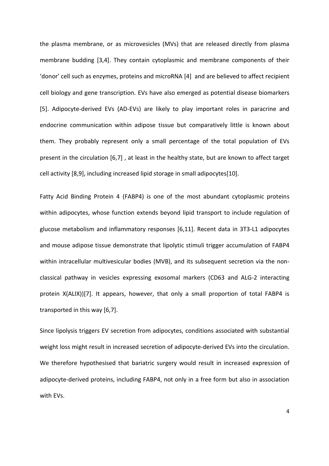the plasma membrane, or as microvesicles (MVs) that are released directly from plasma membrane budding [3,4]. They contain cytoplasmic and membrane components of their 'donor' cell such as enzymes, proteins and microRNA [4] and are believed to affect recipient cell biology and gene transcription. EVs have also emerged as potential disease biomarkers [5]. Adipocyte-derived EVs (AD-EVs) are likely to play important roles in paracrine and endocrine communication within adipose tissue but comparatively little is known about them. They probably represent only a small percentage of the total population of EVs present in the circulation [6,7] , at least in the healthy state, but are known to affect target cell activity [8,9], including increased lipid storage in small adipocytes[10].

Fatty Acid Binding Protein 4 (FABP4) is one of the most abundant cytoplasmic proteins within adipocytes, whose function extends beyond lipid transport to include regulation of glucose metabolism and inflammatory responses [6,11]. Recent data in 3T3-L1 adipocytes and mouse adipose tissue demonstrate that lipolytic stimuli trigger accumulation of FABP4 within intracellular multivesicular bodies (MVB), and its subsequent secretion via the nonclassical pathway in vesicles expressing exosomal markers (CD63 and ALG-2 interacting protein X(ALIX))[7]. It appears, however, that only a small proportion of total FABP4 is transported in this way [6,7].

Since lipolysis triggers EV secretion from adipocytes, conditions associated with substantial weight loss might result in increased secretion of adipocyte-derived EVs into the circulation. We therefore hypothesised that bariatric surgery would result in increased expression of adipocyte-derived proteins, including FABP4, not only in a free form but also in association with EVs.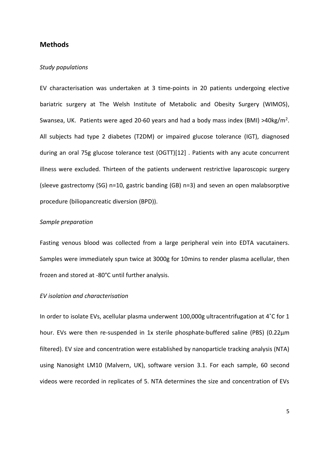# **Methods**

#### *Study populations*

EV characterisation was undertaken at 3 time-points in 20 patients undergoing elective bariatric surgery at The Welsh Institute of Metabolic and Obesity Surgery (WIMOS), Swansea, UK. Patients were aged 20-60 years and had a body mass index (BMI) >40kg/m<sup>2</sup>. All subjects had type 2 diabetes (T2DM) or impaired glucose tolerance (IGT), diagnosed during an oral 75g glucose tolerance test (OGTT)[12] . Patients with any acute concurrent illness were excluded. Thirteen of the patients underwent restrictive laparoscopic surgery (sleeve gastrectomy (SG) n=10, gastric banding (GB) n=3) and seven an open malabsorptive procedure (biliopancreatic diversion (BPD)).

#### *Sample preparation*

Fasting venous blood was collected from a large peripheral vein into EDTA vacutainers. Samples were immediately spun twice at 3000g for 10mins to render plasma acellular, then frozen and stored at -80°C until further analysis.

#### *EV isolation and characterisation*

In order to isolate EVs, acellular plasma underwent 100,000g ultracentrifugation at 4˚C for 1 hour. EVs were then re-suspended in 1x sterile phosphate-buffered saline (PBS) (0.22µm filtered). EV size and concentration were established by nanoparticle tracking analysis (NTA) using Nanosight LM10 (Malvern, UK), software version 3.1. For each sample, 60 second videos were recorded in replicates of 5. NTA determines the size and concentration of EVs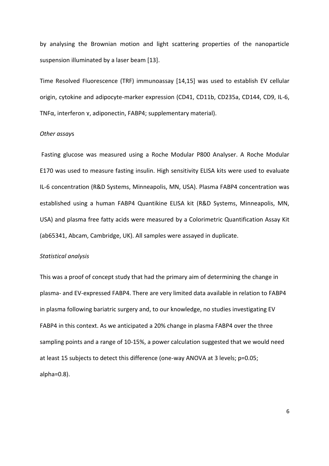by analysing the Brownian motion and light scattering properties of the nanoparticle suspension illuminated by a laser beam [13].

Time Resolved Fluorescence (TRF) immunoassay [14,15] was used to establish EV cellular origin, cytokine and adipocyte-marker expression (CD41, CD11b, CD235a, CD144, CD9, IL-6, TNF $\alpha$ , interferon  $\gamma$ , adiponectin, FABP4; supplementary material).

#### *Other assay*s

 Fasting glucose was measured using a Roche Modular P800 Analyser. A Roche Modular E170 was used to measure fasting insulin. High sensitivity ELISA kits were used to evaluate IL-6 concentration (R&D Systems, Minneapolis, MN, USA). Plasma FABP4 concentration was established using a human FABP4 Quantikine ELISA kit (R&D Systems, Minneapolis, MN, USA) and plasma free fatty acids were measured by a Colorimetric Quantification Assay Kit (ab65341, Abcam, Cambridge, UK). All samples were assayed in duplicate.

#### *Statistical analysis*

This was a proof of concept study that had the primary aim of determining the change in plasma- and EV-expressed FABP4. There are very limited data available in relation to FABP4 in plasma following bariatric surgery and, to our knowledge, no studies investigating EV FABP4 in this context. As we anticipated a 20% change in plasma FABP4 over the three sampling points and a range of 10-15%, a power calculation suggested that we would need at least 15 subjects to detect this difference (one-way ANOVA at 3 levels; p=0.05; alpha=0.8).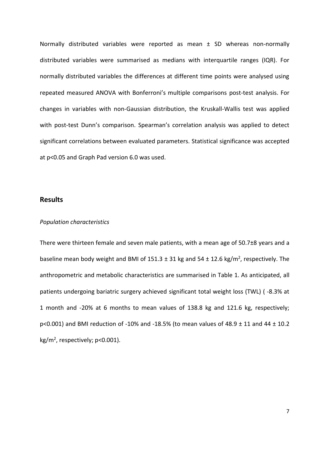Normally distributed variables were reported as mean ± SD whereas non-normally distributed variables were summarised as medians with interquartile ranges (IQR). For normally distributed variables the differences at different time points were analysed using repeated measured ANOVA with Bonferroni's multiple comparisons post-test analysis. For changes in variables with non-Gaussian distribution, the Kruskall-Wallis test was applied with post-test Dunn's comparison. Spearman's correlation analysis was applied to detect significant correlations between evaluated parameters. Statistical significance was accepted at p<0.05 and Graph Pad version 6.0 was used.

# **Results**

#### *Population characteristics*

There were thirteen female and seven male patients, with a mean age of 50.7±8 years and a baseline mean body weight and BMI of  $151.3 \pm 31$  kg and  $54 \pm 12.6$  kg/m<sup>2</sup>, respectively. The anthropometric and metabolic characteristics are summarised in Table 1. As anticipated, all patients undergoing bariatric surgery achieved significant total weight loss (TWL) ( -8.3% at 1 month and -20% at 6 months to mean values of 138.8 kg and 121.6 kg, respectively; p<0.001) and BMI reduction of -10% and -18.5% (to mean values of 48.9  $\pm$  11 and 44  $\pm$  10.2 kg/m<sup>2</sup>, respectively; p<0.001).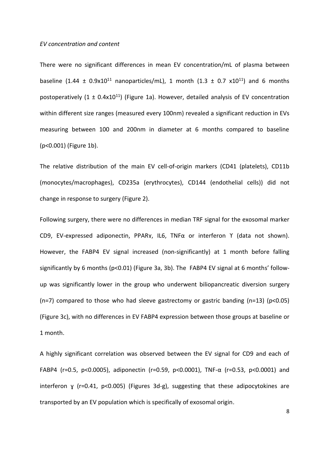#### *EV concentration and content*

There were no significant differences in mean EV concentration/mL of plasma between baseline (1.44  $\pm$  0.9x10<sup>11</sup> nanoparticles/mL), 1 month (1.3  $\pm$  0.7 x10<sup>11</sup>) and 6 months postoperatively  $(1 \pm 0.4x10^{11})$  (Figure 1a). However, detailed analysis of EV concentration within different size ranges (measured every 100nm) revealed a significant reduction in EVs measuring between 100 and 200nm in diameter at 6 months compared to baseline (p<0.001) (Figure 1b).

The relative distribution of the main EV cell-of-origin markers (CD41 (platelets), CD11b (monocytes/macrophages), CD235a (erythrocytes), CD144 (endothelial cells)) did not change in response to surgery (Figure 2).

Following surgery, there were no differences in median TRF signal for the exosomal marker CD9, EV-expressed adiponectin, PPARγ, IL6, TNFα or interferon Y (data not shown). However, the FABP4 EV signal increased (non-significantly) at 1 month before falling significantly by 6 months ( $p<0.01$ ) (Figure 3a, 3b). The FABP4 EV signal at 6 months' followup was significantly lower in the group who underwent biliopancreatic diversion surgery (n=7) compared to those who had sleeve gastrectomy or gastric banding (n=13) ( $p$ <0.05) (Figure 3c), with no differences in EV FABP4 expression between those groups at baseline or 1 month.

A highly significant correlation was observed between the EV signal for CD9 and each of FABP4 (r=0.5, p<0.0005), adiponectin (r=0.59, p<0.0001), TNF- $\alpha$  (r=0.53, p<0.0001) and interferon  $\gamma$  (r=0.41, p<0.005) (Figures 3d-g), suggesting that these adipocytokines are transported by an EV population which is specifically of exosomal origin.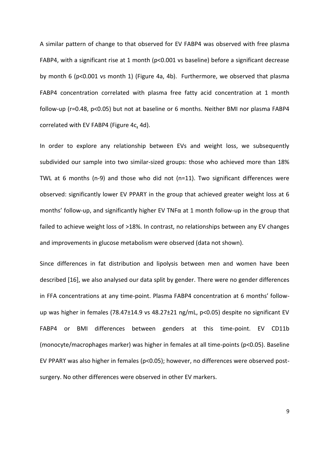A similar pattern of change to that observed for EV FABP4 was observed with free plasma FABP4, with a significant rise at 1 month (p<0.001 vs baseline) before a significant decrease by month 6 (p<0.001 vs month 1) (Figure 4a, 4b). Furthermore, we observed that plasma FABP4 concentration correlated with plasma free fatty acid concentration at 1 month follow-up (r=0.48, p<0.05) but not at baseline or 6 months. Neither BMI nor plasma FABP4 correlated with EV FABP4 (Figure 4c, 4d).

In order to explore any relationship between EVs and weight loss, we subsequently subdivided our sample into two similar-sized groups: those who achieved more than 18% TWL at 6 months (n-9) and those who did not (n=11). Two significant differences were observed: significantly lower EV PPARϒ in the group that achieved greater weight loss at 6 months' follow-up, and significantly higher EV TNF $\alpha$  at 1 month follow-up in the group that failed to achieve weight loss of >18%. In contrast, no relationships between any EV changes and improvements in glucose metabolism were observed (data not shown).

Since differences in fat distribution and lipolysis between men and women have been described [16], we also analysed our data split by gender. There were no gender differences in FFA concentrations at any time-point. Plasma FABP4 concentration at 6 months' followup was higher in females (78.47±14.9 vs 48.27±21 ng/mL, p<0.05) despite no significant EV FABP4 or BMI differences between genders at this time-point. EV CD11b (monocyte/macrophages marker) was higher in females at all time-points (p<0.05). Baseline EV PPARY was also higher in females (p<0.05); however, no differences were observed postsurgery. No other differences were observed in other EV markers.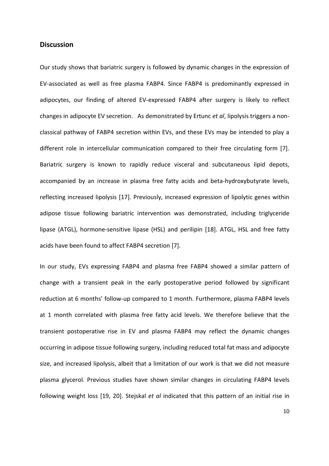# **Discussion**

Our study shows that bariatric surgery is followed by dynamic changes in the expression of EV-associated as well as free plasma FABP4. Since FABP4 is predominantly expressed in adipocytes, our finding of altered EV-expressed FABP4 after surgery is likely to reflect changes in adipocyte EV secretion. As demonstrated by Ertunc *et al*, lipolysis triggers a nonclassical pathway of FABP4 secretion within EVs, and these EVs may be intended to play a different role in intercellular communication compared to their free circulating form [7]. Bariatric surgery is known to rapidly reduce visceral and subcutaneous lipid depots, accompanied by an increase in plasma free fatty acids and beta-hydroxybutyrate levels, reflecting increased lipolysis [17]. Previously, increased expression of lipolytic genes within adipose tissue following bariatric intervention was demonstrated, including triglyceride lipase (ATGL), hormone-sensitive lipase (HSL) and perilipin [18]. ATGL, HSL and free fatty acids have been found to affect FABP4 secretion [7].

In our study, EVs expressing FABP4 and plasma free FABP4 showed a similar pattern of change with a transient peak in the early postoperative period followed by significant reduction at 6 months' follow-up compared to 1 month. Furthermore, plasma FABP4 levels at 1 month correlated with plasma free fatty acid levels. We therefore believe that the transient postoperative rise in EV and plasma FABP4 may reflect the dynamic changes occurring in adipose tissue following surgery, including reduced total fat mass and adipocyte size, and increased lipolysis, albeit that a limitation of our work is that we did not measure plasma glycerol. Previous studies have shown similar changes in circulating FABP4 levels following weight loss [19, 20]. Stejskal *et al* indicated that this pattern of an initial rise in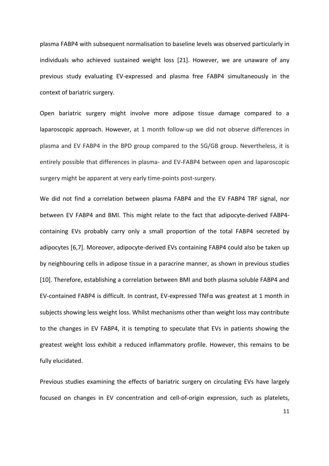plasma FABP4 with subsequent normalisation to baseline levels was observed particularly in individuals who achieved sustained weight loss [21]. However, we are unaware of any previous study evaluating EV-expressed and plasma free FABP4 simultaneously in the context of bariatric surgery.

Open bariatric surgery might involve more adipose tissue damage compared to a laparoscopic approach. However, at 1 month follow-up we did not observe differences in plasma and EV FABP4 in the BPD group compared to the SG/GB group. Nevertheless, it is entirely possible that differences in plasma- and EV-FABP4 between open and laparoscopic surgery might be apparent at very early time-points post-surgery.

We did not find a correlation between plasma FABP4 and the EV FABP4 TRF signal, nor between EV FABP4 and BMI. This might relate to the fact that adipocyte-derived FABP4 containing EVs probably carry only a small proportion of the total FABP4 secreted by adipocytes [6,7]. Moreover, adipocyte-derived EVs containing FABP4 could also be taken up by neighbouring cells in adipose tissue in a paracrine manner, as shown in previous studies [10]. Therefore, establishing a correlation between BMI and both plasma soluble FABP4 and EV-contained FABP4 is difficult. In contrast, EV-expressed TNF $\alpha$  was greatest at 1 month in subjects showing less weight loss. Whilst mechanisms other than weight loss may contribute to the changes in EV FABP4, it is tempting to speculate that EVs in patients showing the greatest weight loss exhibit a reduced inflammatory profile. However, this remains to be fully elucidated.

Previous studies examining the effects of bariatric surgery on circulating EVs have largely focused on changes in EV concentration and cell-of-origin expression, such as platelets,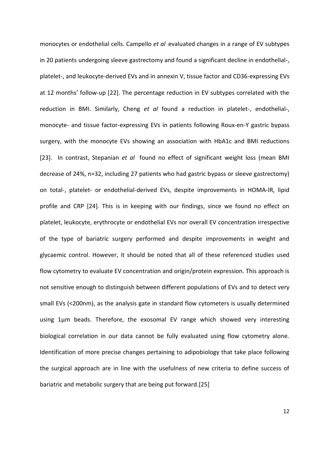monocytes or endothelial cells. Campello *et al* evaluated changes in a range of EV subtypes in 20 patients undergoing sleeve gastrectomy and found a significant decline in endothelial-, platelet-, and leukocyte-derived EVs and in annexin V, tissue factor and CD36-expressing EVs at 12 months' follow-up [22]. The percentage reduction in EV subtypes correlated with the reduction in BMI. Similarly, Cheng *et al* found a reduction in platelet-, endothelial-, monocyte- and tissue factor-expressing EVs in patients following Roux-en-Y gastric bypass surgery, with the monocyte EVs showing an association with HbA1c and BMI reductions [23]. In contrast, Stepanian *et al* found no effect of significant weight loss (mean BMI decrease of 24%, n=32, including 27 patients who had gastric bypass or sleeve gastrectomy) on total-, platelet- or endothelial-derived EVs, despite improvements in HOMA-IR, lipid profile and CRP [24]. This is in keeping with our findings, since we found no effect on platelet, leukocyte, erythrocyte or endothelial EVs nor overall EV concentration irrespective of the type of bariatric surgery performed and despite improvements in weight and glycaemic control. However, it should be noted that all of these referenced studies used flow cytometry to evaluate EV concentration and origin/protein expression. This approach is not sensitive enough to distinguish between different populations of EVs and to detect very small EVs (<200nm), as the analysis gate in standard flow cytometers is usually determined using 1µm beads. Therefore, the exosomal EV range which showed very interesting biological correlation in our data cannot be fully evaluated using flow cytometry alone. Identification of more precise changes pertaining to adipobiology that take place following the surgical approach are in line with the usefulness of new criteria to define success of bariatric and metabolic surgery that are being put forward.[25]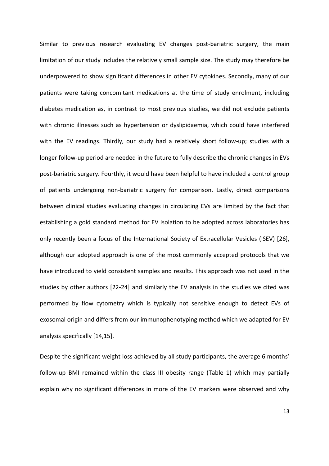Similar to previous research evaluating EV changes post-bariatric surgery, the main limitation of our study includes the relatively small sample size. The study may therefore be underpowered to show significant differences in other EV cytokines. Secondly, many of our patients were taking concomitant medications at the time of study enrolment, including diabetes medication as, in contrast to most previous studies, we did not exclude patients with chronic illnesses such as hypertension or dyslipidaemia, which could have interfered with the EV readings. Thirdly, our study had a relatively short follow-up; studies with a longer follow-up period are needed in the future to fully describe the chronic changes in EVs post-bariatric surgery. Fourthly, it would have been helpful to have included a control group of patients undergoing non-bariatric surgery for comparison. Lastly, direct comparisons between clinical studies evaluating changes in circulating EVs are limited by the fact that establishing a gold standard method for EV isolation to be adopted across laboratories has only recently been a focus of the International Society of Extracellular Vesicles (ISEV) [26], although our adopted approach is one of the most commonly accepted protocols that we have introduced to yield consistent samples and results. This approach was not used in the studies by other authors [22-24] and similarly the EV analysis in the studies we cited was performed by flow cytometry which is typically not sensitive enough to detect EVs of exosomal origin and differs from our immunophenotyping method which we adapted for EV analysis specifically [14,15].

Despite the significant weight loss achieved by all study participants, the average 6 months' follow-up BMI remained within the class III obesity range (Table 1) which may partially explain why no significant differences in more of the EV markers were observed and why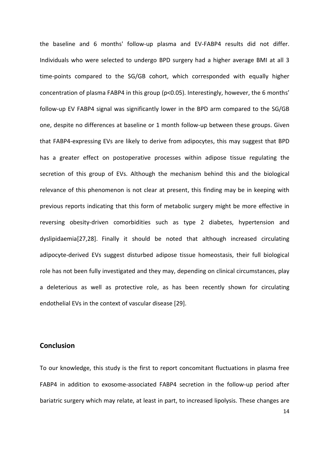the baseline and 6 months' follow-up plasma and EV-FABP4 results did not differ. Individuals who were selected to undergo BPD surgery had a higher average BMI at all 3 time-points compared to the SG/GB cohort, which corresponded with equally higher concentration of plasma FABP4 in this group (p<0.05). Interestingly, however, the 6 months' follow-up EV FABP4 signal was significantly lower in the BPD arm compared to the SG/GB one, despite no differences at baseline or 1 month follow-up between these groups. Given that FABP4-expressing EVs are likely to derive from adipocytes, this may suggest that BPD has a greater effect on postoperative processes within adipose tissue regulating the secretion of this group of EVs. Although the mechanism behind this and the biological relevance of this phenomenon is not clear at present, this finding may be in keeping with previous reports indicating that this form of metabolic surgery might be more effective in reversing obesity-driven comorbidities such as type 2 diabetes, hypertension and dyslipidaemia[27,28]. Finally it should be noted that although increased circulating adipocyte-derived EVs suggest disturbed adipose tissue homeostasis, their full biological role has not been fully investigated and they may, depending on clinical circumstances, play a deleterious as well as protective role, as has been recently shown for circulating endothelial EVs in the context of vascular disease [29].

# **Conclusion**

To our knowledge, this study is the first to report concomitant fluctuations in plasma free FABP4 in addition to exosome-associated FABP4 secretion in the follow-up period after bariatric surgery which may relate, at least in part, to increased lipolysis. These changes are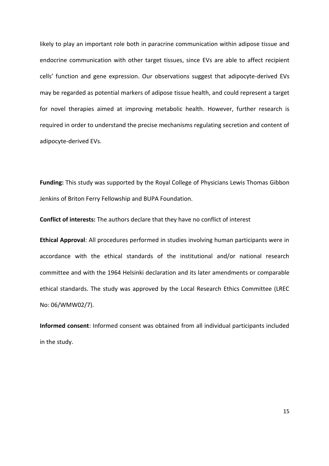likely to play an important role both in paracrine communication within adipose tissue and endocrine communication with other target tissues, since EVs are able to affect recipient cells' function and gene expression. Our observations suggest that adipocyte-derived EVs may be regarded as potential markers of adipose tissue health, and could represent a target for novel therapies aimed at improving metabolic health. However, further research is required in order to understand the precise mechanisms regulating secretion and content of adipocyte-derived EVs.

**Funding:** This study was supported by the Royal College of Physicians Lewis Thomas Gibbon Jenkins of Briton Ferry Fellowship and BUPA Foundation.

**Conflict of interests:** The authors declare that they have no conflict of interest

**Ethical Approval**: All procedures performed in studies involving human participants were in accordance with the ethical standards of the institutional and/or national research committee and with the 1964 Helsinki declaration and its later amendments or comparable ethical standards. The study was approved by the Local Research Ethics Committee (LREC No: 06/WMW02/7).

**Informed consent**: Informed consent was obtained from all individual participants included in the study.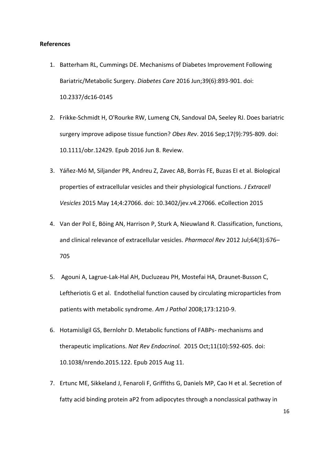## **References**

- 1. Batterham RL, Cummings DE. Mechanisms of Diabetes Improvement Following Bariatric/Metabolic Surgery. *Diabetes Care* 2016 Jun;39(6):893-901. doi: 10.2337/dc16-0145
- 2. Frikke-Schmidt H, O'Rourke RW, Lumeng CN, Sandoval DA, Seeley RJ. Does bariatric surgery improve adipose tissue function? *Obes Rev*. 2016 Sep;17(9):795-809. doi: 10.1111/obr.12429. Epub 2016 Jun 8. Review.
- 3. Yáñez-Mó M, Siljander PR, Andreu Z, Zavec AB, Borràs FE, Buzas EI et al. Biological properties of extracellular vesicles and their physiological functions. *J Extracell Vesicles* 2015 May 14;4:27066. doi: 10.3402/jev.v4.27066. eCollection 2015
- 4. Van der Pol E, Böing AN, Harrison P, Sturk A, Nieuwland R. Classification, functions, and clinical relevance of extracellular vesicles. *Pharmacol Rev* 2012 Jul;64(3):676– 705
- 5. Agouni A, Lagrue-Lak-Hal AH, Ducluzeau PH, Mostefai HA, Draunet-Busson C, Leftheriotis G et al. Endothelial function caused by circulating microparticles from patients with metabolic syndrome. *Am J Pathol* 2008;173:1210-9.
- 6. Hotamisligil GS, Bernlohr D. Metabolic functions of FABPs- mechanisms and therapeutic implications. *Nat Rev Endocrinol.* 2015 Oct;11(10):592-605. doi: 10.1038/nrendo.2015.122. Epub 2015 Aug 11.
- 7. Ertunc ME, Sikkeland J, Fenaroli F, Griffiths G, Daniels MP, Cao H et al. Secretion of fatty acid binding protein aP2 from adipocytes through a nonclassical pathway in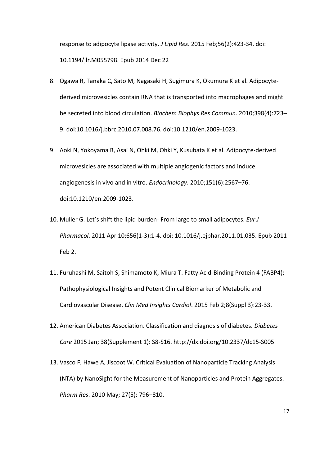response to adipocyte lipase activity. *J Lipid Res*. 2015 Feb;56(2):423-34. doi: 10.1194/jlr.M055798. Epub 2014 Dec 22

- 8. Ogawa R, Tanaka C, Sato M, Nagasaki H, Sugimura K, Okumura K et al. Adipocytederived microvesicles contain RNA that is transported into macrophages and might be secreted into blood circulation. *Biochem Biophys Res Commun*. 2010;398(4):723– 9. doi:10.1016/j.bbrc.2010.07.008.76. doi:10.1210/en.2009-1023.
- 9. Aoki N, Yokoyama R, Asai N, Ohki M, Ohki Y, Kusubata K et al. Adipocyte-derived microvesicles are associated with multiple angiogenic factors and induce angiogenesis in vivo and in vitro. *Endocrinology*. 2010;151(6):2567–76. doi:10.1210/en.2009-1023.
- 10. Muller G. Let's shift the lipid burden- From large to small adipocytes. *Eur J Pharmacol*. 2011 Apr 10;656(1-3):1-4. doi: 10.1016/j.ejphar.2011.01.035. Epub 2011 Feb 2.
- 11. Furuhashi M, Saitoh S, Shimamoto K, Miura T. Fatty Acid-Binding Protein 4 (FABP4); Pathophysiological Insights and Potent Clinical Biomarker of Metabolic and Cardiovascular Disease. *Clin Med Insights Cardiol*. 2015 Feb 2;8(Suppl 3):23-33.
- 12. American Diabetes Association. Classification and diagnosis of diabetes. *Diabetes Care* 2015 Jan; 38(Supplement 1): S8-S16. http://dx.doi.org/10.2337/dc15-S005
- 13. Vasco F, Hawe A, Jiscoot W. Critical Evaluation of Nanoparticle Tracking Analysis (NTA) by NanoSight for the Measurement of Nanoparticles and Protein Aggregates. *Pharm Res*. 2010 May; 27(5): 796–810.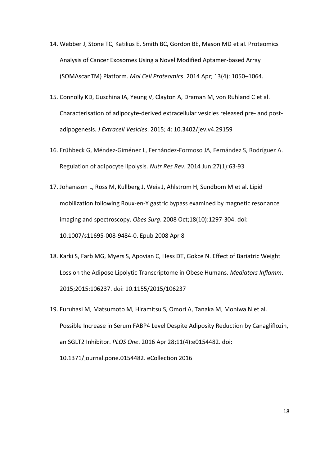- 14. Webber J, Stone TC, Katilius E, Smith BC, Gordon BE, Mason MD et al. Proteomics Analysis of Cancer Exosomes Using a Novel Modified Aptamer-based Array (SOMAscanTM) Platform. *Mol Cell Proteomics*. 2014 Apr; 13(4): 1050–1064.
- 15. Connolly KD, Guschina IA, Yeung V, Clayton A, Draman M, von Ruhland C et al. Characterisation of adipocyte-derived extracellular vesicles released pre- and postadipogenesis. *J Extracell Vesicles*. 2015; 4: 10.3402/jev.v4.29159
- 16. Frühbeck G, Méndez-Giménez L, Fernández-Formoso JA, Fernández S, Rodríguez A. Regulation of adipocyte lipolysis. *Nutr Res Rev*. 2014 Jun;27(1):63-93
- 17. Johansson L, Ross M, Kullberg J, Weis J, Ahlstrom H, Sundbom M et al. Lipid mobilization following Roux-en-Y gastric bypass examined by magnetic resonance imaging and spectroscopy. *Obes Surg*. 2008 Oct;18(10):1297-304. doi: 10.1007/s11695-008-9484-0. Epub 2008 Apr 8
- 18. Karki S, Farb MG, Myers S, Apovian C, Hess DT, Gokce N. Effect of Bariatric Weight Loss on the Adipose Lipolytic Transcriptome in Obese Humans. *Mediators Inflamm*. 2015;2015:106237. doi: 10.1155/2015/106237
- 19. Furuhasi M, Matsumoto M, Hiramitsu S, Omori A, Tanaka M, Moniwa N et al. Possible Increase in Serum FABP4 Level Despite Adiposity Reduction by Canagliflozin, an SGLT2 Inhibitor. *PLOS One*. 2016 Apr 28;11(4):e0154482. doi: 10.1371/journal.pone.0154482. eCollection 2016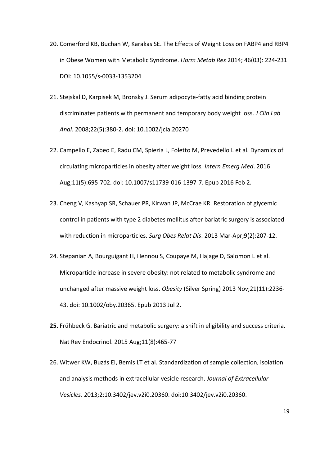- 20. Comerford KB, Buchan W, Karakas SE. The Effects of Weight Loss on FABP4 and RBP4 in Obese Women with Metabolic Syndrome. *Horm Metab Res* 2014; 46(03): 224-231 DOI: 10.1055/s-0033-1353204
- 21. Stejskal D, Karpisek M, Bronsky J. Serum adipocyte-fatty acid binding protein discriminates patients with permanent and temporary body weight loss. *J Clin Lab Anal*. 2008;22(5):380-2. doi: 10.1002/jcla.20270
- 22. Campello E, Zabeo E, Radu CM, Spiezia L, Foletto M, Prevedello L et al. Dynamics of circulating microparticles in obesity after weight loss*. Intern Emerg Med*. 2016 Aug;11(5):695-702. doi: 10.1007/s11739-016-1397-7. Epub 2016 Feb 2.
- 23. Cheng V, Kashyap SR, Schauer PR, Kirwan JP, McCrae KR. Restoration of glycemic control in patients with type 2 diabetes mellitus after bariatric surgery is associated with reduction in microparticles. *Surg Obes Relat Dis*. 2013 Mar-Apr;9(2):207-12.
- 24. Stepanian A, Bourguigant H, Hennou S, Coupaye M, Hajage D, Salomon L et al. Microparticle increase in severe obesity: not related to metabolic syndrome and unchanged after massive weight loss. *Obesity* (Silver Spring) 2013 Nov;21(11):2236- 43. doi: 10.1002/oby.20365. Epub 2013 Jul 2.
- **25.** Frühbeck G. Bariatric and metabolic surgery: a shift in eligibility and success criteria. Nat Rev Endocrinol. 2015 Aug;11(8):465-77
- 26. Witwer KW, Buzás EI, Bemis LT et al. Standardization of sample collection, isolation and analysis methods in extracellular vesicle research. *Journal of Extracellular Vesicles*. 2013;2:10.3402/jev.v2i0.20360. doi:10.3402/jev.v2i0.20360.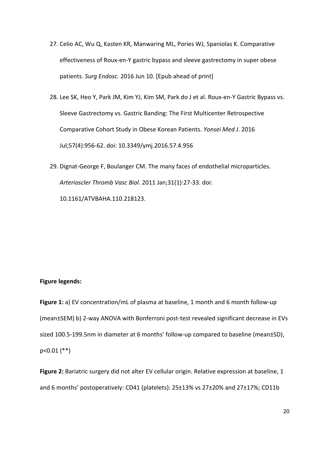- 27. Celio AC, Wu Q, Kasten KR, Manwaring ML, Pories WJ, Spaniolas K. Comparative effectiveness of Roux-en-Y gastric bypass and sleeve gastrectomy in super obese patients. *Surg Endosc.* 2016 Jun 10. [Epub ahead of print]
- 28. Lee SK, Heo Y, Park JM, Kim YJ, Kim SM, Park do J et al. Roux-en-Y Gastric Bypass vs. Sleeve Gastrectomy vs. Gastric Banding: The First Multicenter Retrospective Comparative Cohort Study in Obese Korean Patients. *Yonsei Med J*. 2016 Jul;57(4):956-62. doi: 10.3349/ymj.2016.57.4.956
- 29. Dignat-George F, Boulanger CM. The many faces of endothelial microparticles. *Arterioscler Thromb Vasc Biol*. 2011 Jan;31(1):27-33. doi: 10.1161/ATVBAHA.110.218123.

## **Figure legends:**

**Figure 1:** a) EV concentration/mL of plasma at baseline, 1 month and 6 month follow-up (mean±SEM) b) 2-way ANOVA with Bonferroni post-test revealed significant decrease in EVs sized 100.5-199.5nm in diameter at 6 months' follow-up compared to baseline (mean±SD), p<0.01 (\*\*)

**Figure 2:** Bariatric surgery did not alter EV cellular origin. Relative expression at baseline, 1 and 6 months' postoperatively: CD41 (platelets):  $25\pm13\%$  vs  $27\pm20\%$  and  $27\pm17\%$ ; CD11b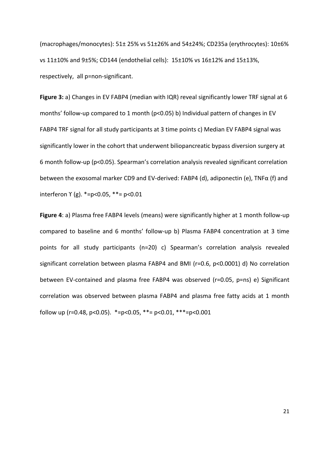(macrophages/monocytes): 51± 25% vs 51±26% and 54±24%; CD235a (erythrocytes): 10±6% vs 11±10% and 9±5%; CD144 (endothelial cells): 15±10% vs 16±12% and 15±13%, respectively, all p=non-significant.

**Figure 3:** a) Changes in EV FABP4 (median with IQR) reveal significantly lower TRF signal at 6 months' follow-up compared to 1 month ( $p$ <0.05) b) Individual pattern of changes in EV FABP4 TRF signal for all study participants at 3 time points c) Median EV FABP4 signal was significantly lower in the cohort that underwent biliopancreatic bypass diversion surgery at 6 month follow-up (p<0.05). Spearman's correlation analysis revealed significant correlation between the exosomal marker CD9 and EV-derived: FABP4 (d), adiponectin (e), TNFα (f) and interferon ϒ (g). \*=p<0.05, \*\*= p<0.01

**Figure 4**: a) Plasma free FABP4 levels (means) were significantly higher at 1 month follow-up compared to baseline and 6 months' follow-up b) Plasma FABP4 concentration at 3 time points for all study participants (n=20) c) Spearman's correlation analysis revealed significant correlation between plasma FABP4 and BMI (r=0.6, p<0.0001) d) No correlation between EV-contained and plasma free FABP4 was observed (r=0.05, p=ns) e) Significant correlation was observed between plasma FABP4 and plasma free fatty acids at 1 month follow up (r=0.48, p<0.05).  $*=p<0.05$ ,  $**=p<0.01$ ,  $**=p<0.001$